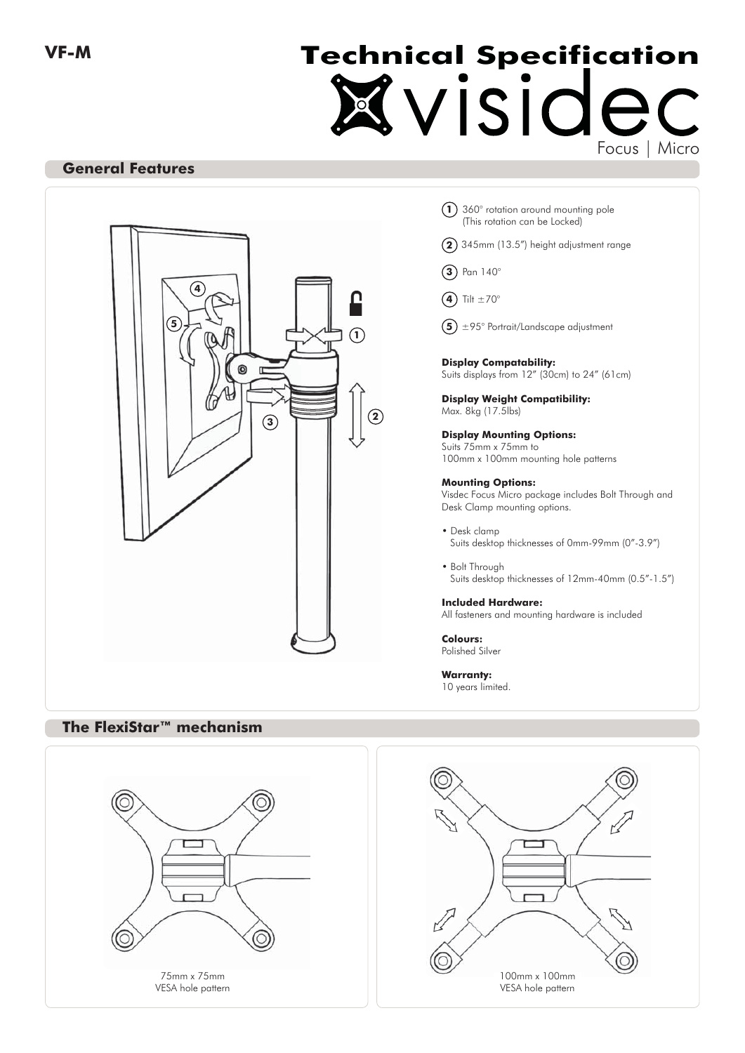# Kvisidec **Technical Specification**

## **General Features**



- 360° rotation around mounting pole **1** (This rotation can be Locked)
- 345mm (13.5") height adjustment range **2**
- Pan 140° **3**
- **4**) Tilt  $\pm 70^\circ$
- ±95° Portrait/Landscape adjustment **5**

#### **Display Compatability:** Suits displays from 12" (30cm) to 24" (61cm)

**Display Weight Compatibility:** Max. 8kg (17.5lbs)

**Display Mounting Options:** Suits 75mm x 75mm to 100mm x 100mm mounting hole patterns

#### **Mounting Options:**

Visdec Focus Micro package includes Bolt Through and Desk Clamp mounting options.

- Desk clamp Suits desktop thicknesses of 0mm-99mm (0"-3.9")
- Bolt Through Suits desktop thicknesses of 12mm-40mm (0.5"-1.5")

**Included Hardware:** All fasteners and mounting hardware is included

**Colours:** Polished Silver

**Warranty:** 10 years limited.

## **The FlexiStar™ mechanism**